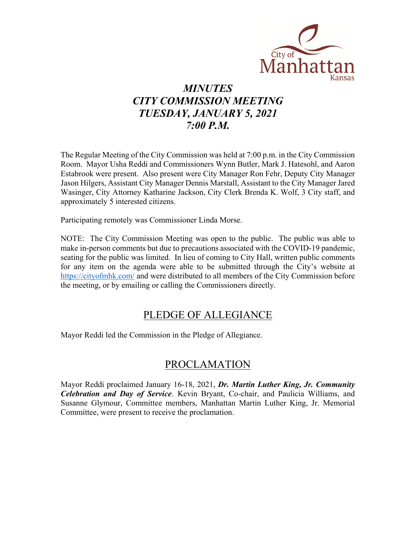

# *MINUTES CITY COMMISSION MEETING TUESDAY, JANUARY 5, 2021 7:00 P.M.*

The Regular Meeting of the City Commission was held at 7:00 p.m. in the City Commission Room. Mayor Usha Reddi and Commissioners Wynn Butler, Mark J. Hatesohl, and Aaron Estabrook were present. Also present were City Manager Ron Fehr, Deputy City Manager Jason Hilgers, Assistant City Manager Dennis Marstall, Assistant to the City Manager Jared Wasinger, City Attorney Katharine Jackson, City Clerk Brenda K. Wolf, 3 City staff, and approximately 5 interested citizens.

Participating remotely was Commissioner Linda Morse.

NOTE: The City Commission Meeting was open to the public. The public was able to make in-person comments but due to precautions associated with the COVID-19 pandemic, seating for the public was limited. In lieu of coming to City Hall, written public comments for any item on the agenda were able to be submitted through the City's website at [https://cityofmhk.com/](https://cityofmhk.com/and) and were distributed to all members of the City Commission before the meeting, or by emailing or calling the Commissioners directly.

### PLEDGE OF ALLEGIANCE

Mayor Reddi led the Commission in the Pledge of Allegiance.

### PROCLAMATION

Mayor Reddi proclaimed January 16-18, 2021, *Dr. Martin Luther King, Jr. Community Celebration and Day of Service*. Kevin Bryant, Co-chair, and Paulicia Williams, and Susanne Glymour, Committee members, Manhattan Martin Luther King, Jr. Memorial Committee, were present to receive the proclamation.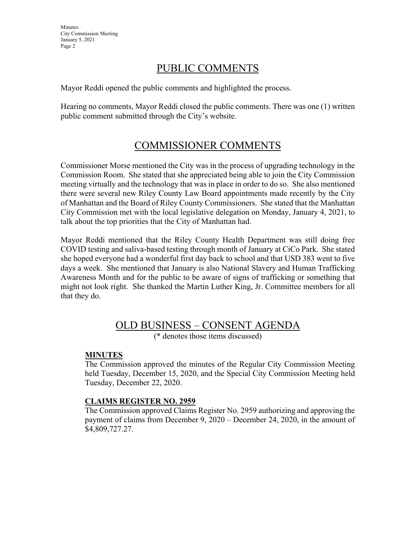**Minutes** City Commission Meeting January 5, 2021 Page 2

## PUBLIC COMMENTS

Mayor Reddi opened the public comments and highlighted the process.

Hearing no comments, Mayor Reddi closed the public comments. There was one (1) written public comment submitted through the City's website.

## COMMISSIONER COMMENTS

Commissioner Morse mentioned the City was in the process of upgrading technology in the Commission Room. She stated that she appreciated being able to join the City Commission meeting virtually and the technology that was in place in order to do so. She also mentioned there were several new Riley County Law Board appointments made recently by the City of Manhattan and the Board of Riley County Commissioners. She stated that the Manhattan City Commission met with the local legislative delegation on Monday, January 4, 2021, to talk about the top priorities that the City of Manhattan had.

Mayor Reddi mentioned that the Riley County Health Department was still doing free COVID testing and saliva-based testing through month of January at CiCo Park. She stated she hoped everyone had a wonderful first day back to school and that USD 383 went to five days a week. She mentioned that January is also National Slavery and Human Trafficking Awareness Month and for the public to be aware of signs of trafficking or something that might not look right. She thanked the Martin Luther King, Jr. Committee members for all that they do.

### OLD BUSINESS – CONSENT AGENDA

(\* denotes those items discussed)

#### **MINUTES**

The Commission approved the minutes of the Regular City Commission Meeting held Tuesday, December 15, 2020, and the Special City Commission Meeting held Tuesday, December 22, 2020.

#### **CLAIMS REGISTER NO. 2959**

The Commission approved Claims Register No. 2959 authorizing and approving the payment of claims from December 9, 2020 – December 24, 2020, in the amount of \$4,809,727.27.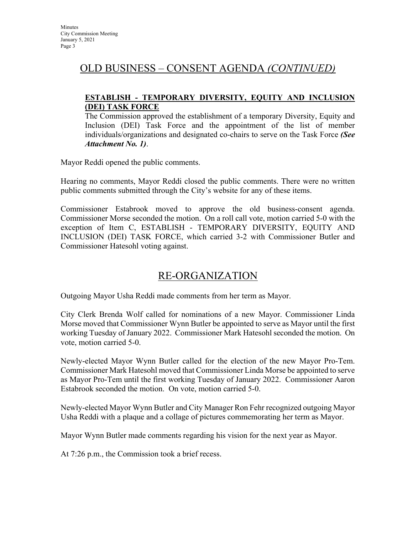### OLD BUSINESS – CONSENT AGENDA *(CONTINUED)*

#### **ESTABLISH - TEMPORARY DIVERSITY, EQUITY AND INCLUSION (DEI) TASK FORCE**

The Commission approved the establishment of a temporary Diversity, Equity and Inclusion (DEI) Task Force and the appointment of the list of member individuals/organizations and designated co-chairs to serve on the Task Force *(See Attachment No. 1)*.

Mayor Reddi opened the public comments.

Hearing no comments, Mayor Reddi closed the public comments. There were no written public comments submitted through the City's website for any of these items.

Commissioner Estabrook moved to approve the old business-consent agenda. Commissioner Morse seconded the motion. On a roll call vote, motion carried 5-0 with the exception of Item C, ESTABLISH - TEMPORARY DIVERSITY, EQUITY AND INCLUSION (DEI) TASK FORCE, which carried 3-2 with Commissioner Butler and Commissioner Hatesohl voting against.

# RE-ORGANIZATION

Outgoing Mayor Usha Reddi made comments from her term as Mayor.

City Clerk Brenda Wolf called for nominations of a new Mayor. Commissioner Linda Morse moved that Commissioner Wynn Butler be appointed to serve as Mayor until the first working Tuesday of January 2022. Commissioner Mark Hatesohl seconded the motion. On vote, motion carried 5-0.

Newly-elected Mayor Wynn Butler called for the election of the new Mayor Pro-Tem. Commissioner Mark Hatesohl moved that Commissioner Linda Morse be appointed to serve as Mayor Pro-Tem until the first working Tuesday of January 2022. Commissioner Aaron Estabrook seconded the motion. On vote, motion carried 5-0.

Newly-elected Mayor Wynn Butler and City Manager Ron Fehr recognized outgoing Mayor Usha Reddi with a plaque and a collage of pictures commemorating her term as Mayor.

Mayor Wynn Butler made comments regarding his vision for the next year as Mayor.

At 7:26 p.m., the Commission took a brief recess.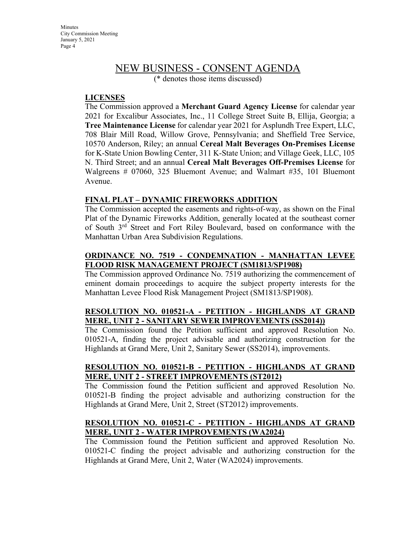### NEW BUSINESS - CONSENT AGENDA

(\* denotes those items discussed)

#### **LICENSES**

The Commission approved a **Merchant Guard Agency License** for calendar year 2021 for Excalibur Associates, Inc., 11 College Street Suite B, Ellija, Georgia; a **Tree Maintenance License** for calendar year 2021 for Asplundh Tree Expert, LLC, 708 Blair Mill Road, Willow Grove, Pennsylvania; and Sheffield Tree Service, 10570 Anderson, Riley; an annual **Cereal Malt Beverages On-Premises License** for K-State Union Bowling Center, 311 K-State Union; and Village Geek, LLC, 105 N. Third Street; and an annual **Cereal Malt Beverages Off-Premises License** for Walgreens # 07060, 325 Bluemont Avenue; and Walmart #35, 101 Bluemont Avenue.

#### **FINAL PLAT – DYNAMIC FIREWORKS ADDITION**

The Commission accepted the easements and rights-of-way, as shown on the Final Plat of the Dynamic Fireworks Addition, generally located at the southeast corner of South 3rd Street and Fort Riley Boulevard, based on conformance with the Manhattan Urban Area Subdivision Regulations.

#### **ORDINANCE NO. 7519 - CONDEMNATION - MANHATTAN LEVEE FLOOD RISK MANAGEMENT PROJECT (SM1813/SP1908)**

The Commission approved Ordinance No. 7519 authorizing the commencement of eminent domain proceedings to acquire the subject property interests for the Manhattan Levee Flood Risk Management Project (SM1813/SP1908).

#### **RESOLUTION NO. 010521-A - PETITION - HIGHLANDS AT GRAND MERE, UNIT 2 - SANITARY SEWER IMPROVEMENTS (SS2014))**

The Commission found the Petition sufficient and approved Resolution No. 010521-A, finding the project advisable and authorizing construction for the Highlands at Grand Mere, Unit 2, Sanitary Sewer (SS2014), improvements.

#### **RESOLUTION NO. 010521-B - PETITION - HIGHLANDS AT GRAND MERE, UNIT 2 - STREET IMPROVEMENTS (ST2012)**

The Commission found the Petition sufficient and approved Resolution No. 010521-B finding the project advisable and authorizing construction for the Highlands at Grand Mere, Unit 2, Street (ST2012) improvements.

#### **RESOLUTION NO. 010521-C - PETITION - HIGHLANDS AT GRAND MERE, UNIT 2 - WATER IMPROVEMENTS (WA2024)**

The Commission found the Petition sufficient and approved Resolution No. 010521-C finding the project advisable and authorizing construction for the Highlands at Grand Mere, Unit 2, Water (WA2024) improvements.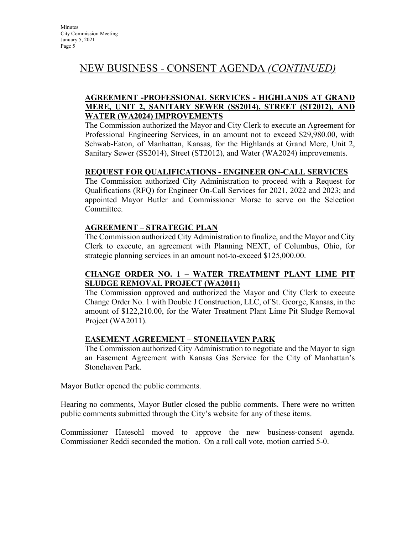## NEW BUSINESS - CONSENT AGENDA *(CONTINUED)*

#### **AGREEMENT -PROFESSIONAL SERVICES - HIGHLANDS AT GRAND MERE, UNIT 2, SANITARY SEWER (SS2014), STREET (ST2012), AND WATER (WA2024) IMPROVEMENTS**

The Commission authorized the Mayor and City Clerk to execute an Agreement for Professional Engineering Services, in an amount not to exceed \$29,980.00, with Schwab-Eaton, of Manhattan, Kansas, for the Highlands at Grand Mere, Unit 2, Sanitary Sewer (SS2014), Street (ST2012), and Water (WA2024) improvements.

#### **REQUEST FOR QUALIFICATIONS - ENGINEER ON-CALL SERVICES**

The Commission authorized City Administration to proceed with a Request for Qualifications (RFQ) for Engineer On-Call Services for 2021, 2022 and 2023; and appointed Mayor Butler and Commissioner Morse to serve on the Selection Committee.

#### **AGREEMENT – STRATEGIC PLAN**

The Commission authorized City Administration to finalize, and the Mayor and City Clerk to execute, an agreement with Planning NEXT, of Columbus, Ohio, for strategic planning services in an amount not-to-exceed \$125,000.00.

#### **CHANGE ORDER NO. 1 – WATER TREATMENT PLANT LIME PIT SLUDGE REMOVAL PROJECT (WA2011)**

The Commission approved and authorized the Mayor and City Clerk to execute Change Order No. 1 with Double J Construction, LLC, of St. George, Kansas, in the amount of \$122,210.00, for the Water Treatment Plant Lime Pit Sludge Removal Project (WA2011).

#### **EASEMENT AGREEMENT – STONEHAVEN PARK**

The Commission authorized City Administration to negotiate and the Mayor to sign an Easement Agreement with Kansas Gas Service for the City of Manhattan's Stonehaven Park.

Mayor Butler opened the public comments.

Hearing no comments, Mayor Butler closed the public comments. There were no written public comments submitted through the City's website for any of these items.

Commissioner Hatesohl moved to approve the new business-consent agenda. Commissioner Reddi seconded the motion. On a roll call vote, motion carried 5-0.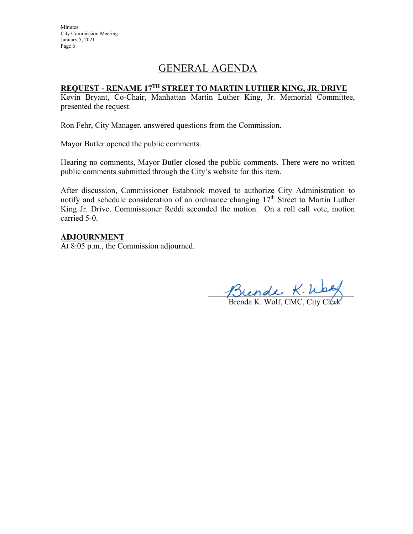**Minutes** City Commission Meeting January 5, 2021 Page 6

## GENERAL AGENDA

#### **REQUEST - RENAME 17TH STREET TO MARTIN LUTHER KING, JR. DRIVE**

Kevin Bryant, Co-Chair, Manhattan Martin Luther King, Jr. Memorial Committee, presented the request.

Ron Fehr, City Manager, answered questions from the Commission.

Mayor Butler opened the public comments.

Hearing no comments, Mayor Butler closed the public comments. There were no written public comments submitted through the City's website for this item.

After discussion, Commissioner Estabrook moved to authorize City Administration to notify and schedule consideration of an ordinance changing 17<sup>th</sup> Street to Martin Luther King Jr. Drive. Commissioner Reddi seconded the motion. On a roll call vote, motion carried 5-0.

#### **ADJOURNMENT**

At 8:05 p.m., the Commission adjourned.

Josende R. Way

Brenda K. Wolf, CMC, City Clerk